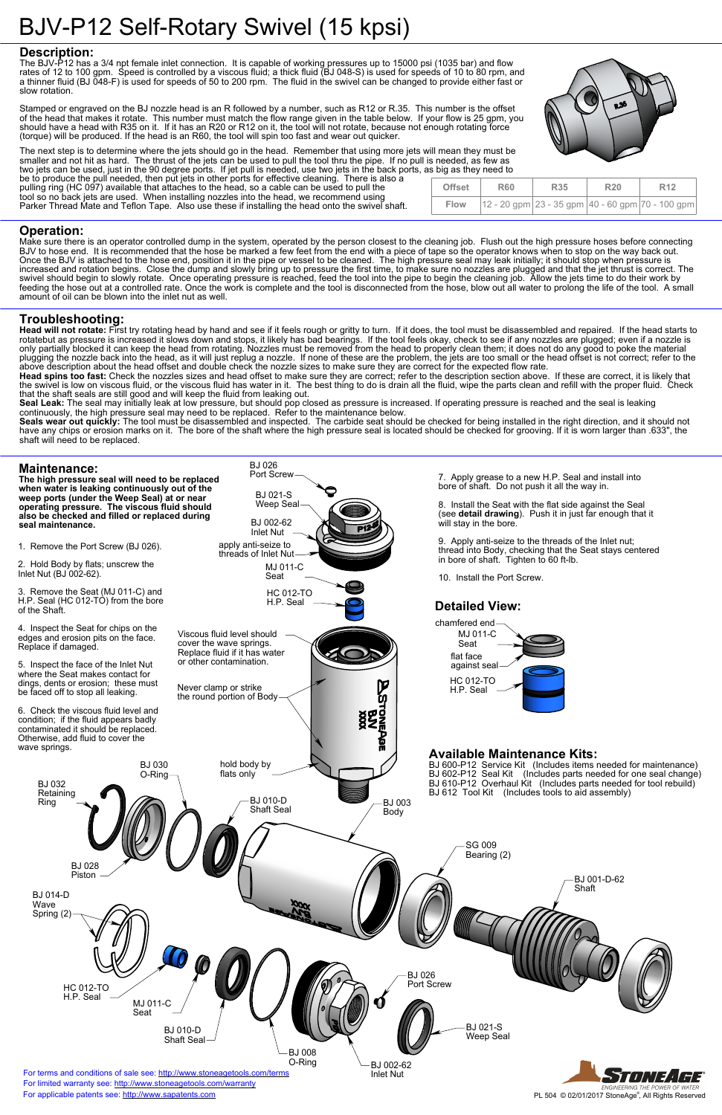tool so no back jets are used. When installing nozzles into the head, we recommend using Parker Thread Mate and Teflon Tape. Also use these if installing the head onto the swivel shaft.

#### **Description:**

The BJV-P12 has a 3/4 npt female inlet connection. It is capable of working pressures up to 15000 psi (1035 bar) and flow rates of 12 to 100 gpm. Speed is controlled by a viscous fluid; a thick fluid (BJ 048-S) is used for speeds of 10 to 80 rpm, and a thinner fluid (BJ 048-F) is used for speeds of 50 to 200 rpm. The fluid in the swivel can be changed to provide either fast or slow rotation.

Stamped or engraved on the BJ nozzle head is an R followed by a number, such as R12 or R.35. This number is the offset of the head that makes it rotate. This number must match the flow range given in the table below. If your flow is 25 gpm, you should have a head with R35 on it. If it has an R20 or R12 on it, the tool will not rotate, because not enough rotating force (torque) will be produced. If the head is an R60, the tool will spin too fast and wear out quicker.



Head will not rotate: First try rotating head by hand and see if it feels rough or gritty to turn. If it does, the tool must be disassembled and repaired. If the head starts to rotatebut as pressure is increased it slows down and stops, it likely has bad bearings. If the tool feels okay, check to see if any nozzles are plugged; even if a nozzle is only partially blocked it can keep the head from rotating. Nozzles must be removed from the head to properly clean them; it does not do any good to poke the material plugging the nozzle back into the head, as it will just replug a nozzle. If none of these are the problem, the jets are too small or the head offset is not correct; refer to the above description about the head offset and double check the nozzle sizes to make sure they are correct for the expected flow rate.

Seal Leak: The seal may initially leak at low pressure, but should pop closed as pressure is increased. If operating pressure is reached and the seal is leaking continuously, the high pressure seal may need to be replaced. Refer to the maintenance below.

The next step is to determine where the jets should go in the head. Remember that using more jets will mean they must be smaller and not hit as hard. The thrust of the jets can be used to pull the tool thru the pipe. If no pull is needed, as few as two jets can be used, just in the 90 degree ports. If jet pull is needed, use two jets in the back ports, as big as they need to be to produce the pull needed, then put jets in other ports for effective cleaning. There is also a pulling ring (HC 097) available that attaches to the head, so a cable can be used to pull the



## **Operation:**

Make sure there is an operator controlled dump in the system, operated by the person closest to the cleaning job. Flush out the high pressure hoses before connecting BJV to hose end. It is recommended that the hose be marked a few feet from the end with a piece of tape so the operator knows when to stop on the way back out. Once the BJV is attached to the hose end, position it in the pipe or vessel to be cleaned. The high pressure seal may leak initially; it should stop when pressure is increased and rotation begins. Close the dump and slowly bring up to pressure the first time, to make sure no nozzles are plugged and that the jet thrust is correct. The swivel should begin to slowly rotate. Once operating pressure is reached, feed the tool into the pipe to begin the cleaning job. Allow the jets time to do their work by feeding the hose out at a controlled rate. Once the work is complete and the tool is disconnected from the hose, blow out all water to prolong the life of the tool. A small amount of oil can be blown into the inlet nut as well.

### **Troubleshooting:**

**Head spins too fast:** Check the nozzles sizes and head offset to make sure they are correct; refer to the description section above. If these are correct, it is likely that the swivel is low on viscous fluid, or the viscous fluid has water in it. The best thing to do is drain all the fluid, wipe the parts clean and refill with the proper fluid. Check that the shaft seals are still good and will keep the fluid from leaking out.

**Seals wear out quickly:** The tool must be disassembled and inspected. The carbide seat should be checked for being installed in the right direction, and it should not have any chips or erosion marks on it. The bore of the shaft where the high pressure seal is located should be checked for grooving. If it is worn larger than .633", the shaft will need to be replaced.

| <b>Offset</b> | <b>R60</b> | <b>R35</b> | <b>R20</b> | R <sub>12</sub>                                              |
|---------------|------------|------------|------------|--------------------------------------------------------------|
| <b>Flow</b>   |            |            |            | $ 12 - 20$ gpm $ 23 - 35$ gpm $ 40 - 60$ gpm $ 70 - 100$ gpm |